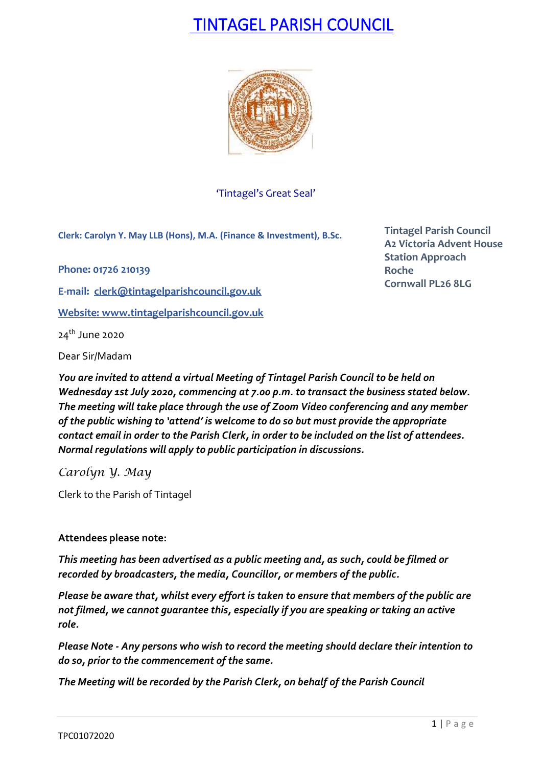# TINTAGEL PARISH COUNCIL



'Tintagel's Great Seal'

**Clerk: Carolyn Y. May LLB (Hons), M.A. (Finance & Investment), B.Sc.**

**Phone: 01726 210139**

**E-mail: [clerk@tintagelparishcouncil.gov.uk](mailto:clerk@tintagelparishcouncil.gov.uk)**

**Website: [www.tintagelparishcouncil.gov.uk](http://www.tintagelparishcouncil.gov.uk/)**

24th June 2020

Dear Sir/Madam

*You are invited to attend a virtual Meeting of Tintagel Parish Council to be held on Wednesday 1st July 2020, commencing at 7.00 p.m. to transact the business stated below. The meeting will take place through the use of Zoom Video conferencing and any member of the public wishing to 'attend' is welcome to do so but must provide the appropriate contact email in order to the Parish Clerk, in order to be included on the list of attendees. Normal regulations will apply to public participation in discussions.*

*Carolyn Y. May*

Clerk to the Parish of Tintagel

# **Attendees please note:**

*This meeting has been advertised as a public meeting and, as such, could be filmed or recorded by broadcasters, the media, Councillor, or members of the public.*

*Please be aware that, whilst every effort is taken to ensure that members of the public are not filmed, we cannot guarantee this, especially if you are speaking or taking an active role.*

*Please Note - Any persons who wish to record the meeting should declare their intention to do so, prior to the commencement of the same.*

*The Meeting will be recorded by the Parish Clerk, on behalf of the Parish Council*

**Tintagel Parish Council A2 Victoria Advent House Station Approach Roche Cornwall PL26 8LG**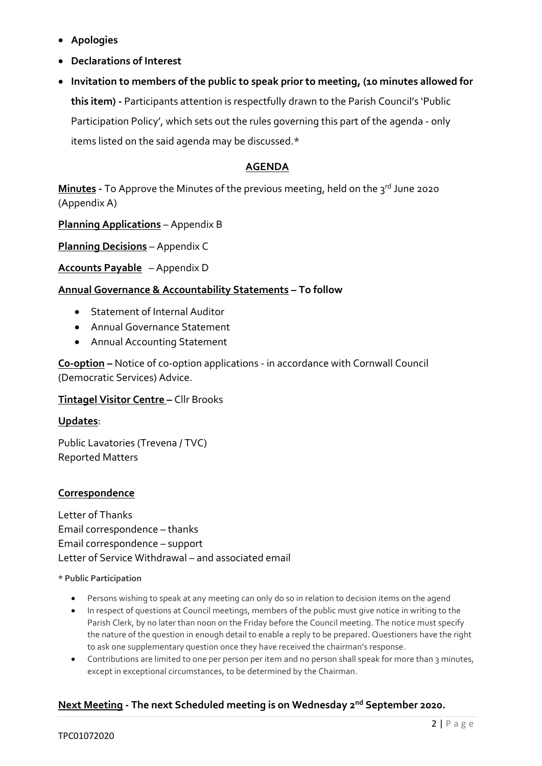- **Apologies**
- **Declarations of Interest**
- **Invitation to members of the public to speak prior to meeting, (10 minutes allowed for this item) -** Participants attention is respectfully drawn to the Parish Council's 'Public Participation Policy', which sets out the rules governing this part of the agenda - only items listed on the said agenda may be discussed.\*

# **AGENDA**

**Minutes -** To Approve the Minutes of the previous meeting, held on the 3 rd June 2020 (Appendix A)

**Planning Applications** – Appendix B

**Planning Decisions** – Appendix C

**Accounts Payable** – Appendix D

# **Annual Governance & Accountability Statements – To follow**

- Statement of Internal Auditor
- Annual Governance Statement
- Annual Accounting Statement

**C0-option –** Notice of co-option applications - in accordance with Cornwall Council (Democratic Services) Advice.

## **Tintagel Visitor Centre –** Cllr Brooks

## **Updates**:

Public Lavatories (Trevena / TVC) Reported Matters

# **Correspondence**

Letter of Thanks Email correspondence – thanks Email correspondence – support Letter of Service Withdrawal – and associated email

#### **\* Public Participation**

- Persons wishing to speak at any meeting can only do so in relation to decision items on the agend
- In respect of questions at Council meetings, members of the public must give notice in writing to the Parish Clerk, by no later than noon on the Friday before the Council meeting. The notice must specify the nature of the question in enough detail to enable a reply to be prepared. Questioners have the right to ask one supplementary question once they have received the chairman's response.
- Contributions are limited to one per person per item and no person shall speak for more than 3 minutes, except in exceptional circumstances, to be determined by the Chairman.

# **Next Meeting - The next Scheduled meeting is on Wednesday 2 nd September 2020.**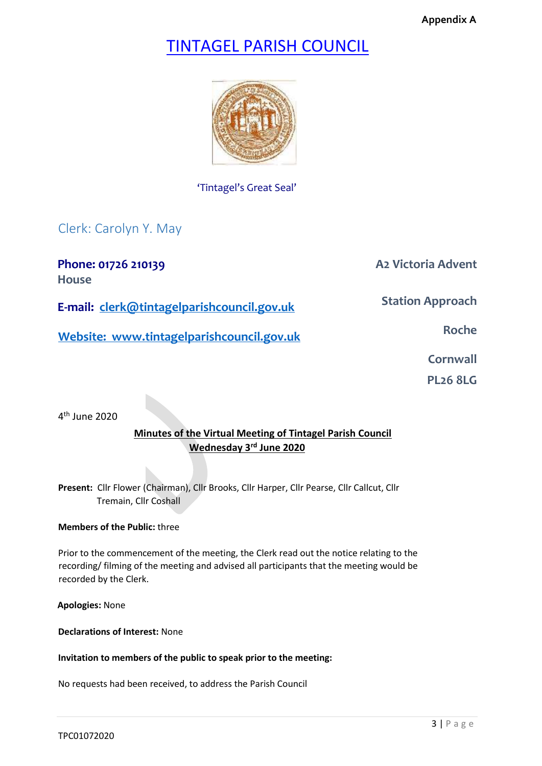# TINTAGEL PARISH COUNCIL



# 'Tintagel's Great Seal'

Clerk: Carolyn Y. May

**Phone: 01726 210139 A2 Victoria Advent House** 

**Station Approach** 

**E-mail: clerk@tintagelparishcouncil.gov.uk** 

**Website:** www.tintagelparishcouncil.gov.uk

**Cornwall** 

**PL26 8LG** 

4<sup>th</sup> June 2020

# **Minutes of the Virtual Meeting of Tintagel Parish Council Wednesday 3rd June 2020**

**Present:** Cllr Flower (Chairman), Cllr Brooks, Cllr Harper, Cllr Pearse, Cllr Callcut, Cllr Tremain, Cllr Coshall

## **Members of the Public:** three

Prior to the commencement of the meeting, the Clerk read out the notice relating to the recording/ filming of the meeting and advised all participants that the meeting would be recorded by the Clerk.

**Apologies:** None

**Declarations of Interest:** None

**Invitation to members of the public to speak prior to the meeting:**

No requests had been received, to address the Parish Council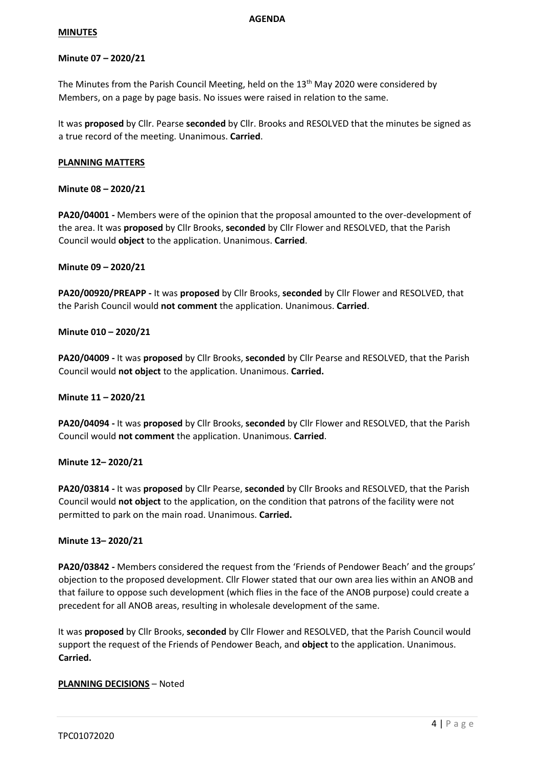#### **AGENDA**

#### **MINUTES**

## **Minute 07 – 2020/21**

The Minutes from the Parish Council Meeting, held on the 13<sup>th</sup> May 2020 were considered by Members, on a page by page basis. No issues were raised in relation to the same.

It was **proposed** by Cllr. Pearse **seconded** by Cllr. Brooks and RESOLVED that the minutes be signed as a true record of the meeting. Unanimous. **Carried**.

#### **PLANNING MATTERS**

## **Minute 08 – 2020/21**

**PA20/04001 -** Members were of the opinion that the proposal amounted to the over-development of the area. It was **proposed** by Cllr Brooks, **seconded** by Cllr Flower and RESOLVED, that the Parish Council would **object** to the application. Unanimous. **Carried**.

#### **Minute 09 – 2020/21**

**PA20/00920/PREAPP -** It was **proposed** by Cllr Brooks, **seconded** by Cllr Flower and RESOLVED, that the Parish Council would **not comment** the application. Unanimous. **Carried**.

## **Minute 010 – 2020/21**

**PA20/04009 -** It was **proposed** by Cllr Brooks, **seconded** by Cllr Pearse and RESOLVED, that the Parish Council would **not object** to the application. Unanimous. **Carried.**

#### **Minute 11 – 2020/21**

**PA20/04094 -** It was **proposed** by Cllr Brooks, **seconded** by Cllr Flower and RESOLVED, that the Parish Council would **not comment** the application. Unanimous. **Carried**.

#### **Minute 12– 2020/21**

**PA20/03814 -** It was **proposed** by Cllr Pearse, **seconded** by Cllr Brooks and RESOLVED, that the Parish Council would **not object** to the application, on the condition that patrons of the facility were not permitted to park on the main road. Unanimous. **Carried.**

#### **Minute 13– 2020/21**

**PA20/03842 -** Members considered the request from the 'Friends of Pendower Beach' and the groups' objection to the proposed development. Cllr Flower stated that our own area lies within an ANOB and that failure to oppose such development (which flies in the face of the ANOB purpose) could create a precedent for all ANOB areas, resulting in wholesale development of the same.

It was **proposed** by Cllr Brooks, **seconded** by Cllr Flower and RESOLVED, that the Parish Council would support the request of the Friends of Pendower Beach, and **object** to the application. Unanimous. **Carried.**

## **PLANNING DECISIONS** – Noted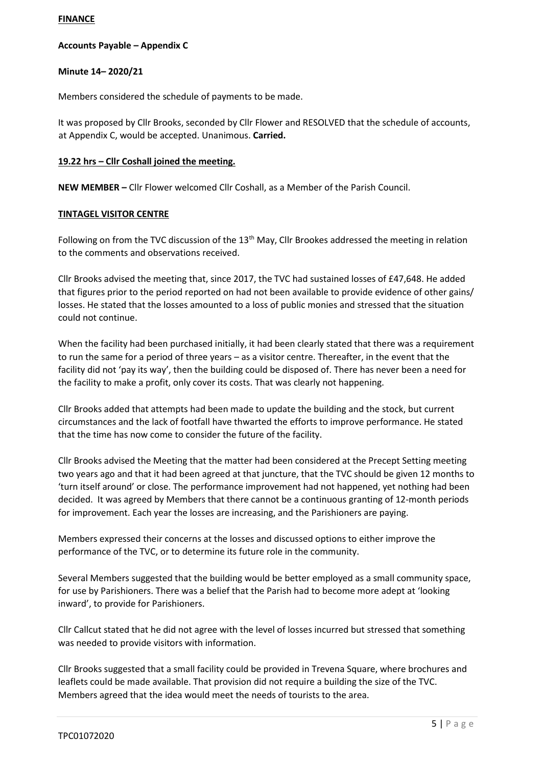## **FINANCE**

## **Accounts Payable – Appendix C**

## **Minute 14– 2020/21**

Members considered the schedule of payments to be made.

It was proposed by Cllr Brooks, seconded by Cllr Flower and RESOLVED that the schedule of accounts, at Appendix C, would be accepted. Unanimous. **Carried.**

## **19.22 hrs – Cllr Coshall joined the meeting.**

**NEW MEMBER –** Cllr Flower welcomed Cllr Coshall, as a Member of the Parish Council.

## **TINTAGEL VISITOR CENTRE**

Following on from the TVC discussion of the 13<sup>th</sup> May, Cllr Brookes addressed the meeting in relation to the comments and observations received.

Cllr Brooks advised the meeting that, since 2017, the TVC had sustained losses of £47,648. He added that figures prior to the period reported on had not been available to provide evidence of other gains/ losses. He stated that the losses amounted to a loss of public monies and stressed that the situation could not continue.

When the facility had been purchased initially, it had been clearly stated that there was a requirement to run the same for a period of three years – as a visitor centre. Thereafter, in the event that the facility did not 'pay its way', then the building could be disposed of. There has never been a need for the facility to make a profit, only cover its costs. That was clearly not happening.

Cllr Brooks added that attempts had been made to update the building and the stock, but current circumstances and the lack of footfall have thwarted the efforts to improve performance. He stated that the time has now come to consider the future of the facility.

Cllr Brooks advised the Meeting that the matter had been considered at the Precept Setting meeting two years ago and that it had been agreed at that juncture, that the TVC should be given 12 months to 'turn itself around' or close. The performance improvement had not happened, yet nothing had been decided. It was agreed by Members that there cannot be a continuous granting of 12-month periods for improvement. Each year the losses are increasing, and the Parishioners are paying.

Members expressed their concerns at the losses and discussed options to either improve the performance of the TVC, or to determine its future role in the community.

Several Members suggested that the building would be better employed as a small community space, for use by Parishioners. There was a belief that the Parish had to become more adept at 'looking inward', to provide for Parishioners.

Cllr Callcut stated that he did not agree with the level of losses incurred but stressed that something was needed to provide visitors with information.

Cllr Brooks suggested that a small facility could be provided in Trevena Square, where brochures and leaflets could be made available. That provision did not require a building the size of the TVC. Members agreed that the idea would meet the needs of tourists to the area.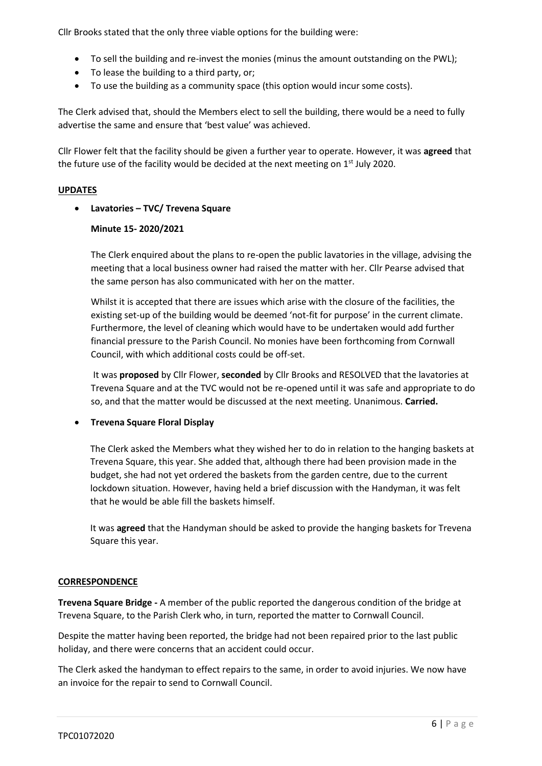Cllr Brooks stated that the only three viable options for the building were:

- To sell the building and re-invest the monies (minus the amount outstanding on the PWL);
- To lease the building to a third party, or;
- To use the building as a community space (this option would incur some costs).

The Clerk advised that, should the Members elect to sell the building, there would be a need to fully advertise the same and ensure that 'best value' was achieved.

Cllr Flower felt that the facility should be given a further year to operate. However, it was **agreed** that the future use of the facility would be decided at the next meeting on  $1<sup>st</sup>$  July 2020.

## **UPDATES**

## • **Lavatories – TVC/ Trevena Square**

## **Minute 15- 2020/2021**

The Clerk enquired about the plans to re-open the public lavatories in the village, advising the meeting that a local business owner had raised the matter with her. Cllr Pearse advised that the same person has also communicated with her on the matter.

Whilst it is accepted that there are issues which arise with the closure of the facilities, the existing set-up of the building would be deemed 'not-fit for purpose' in the current climate. Furthermore, the level of cleaning which would have to be undertaken would add further financial pressure to the Parish Council. No monies have been forthcoming from Cornwall Council, with which additional costs could be off-set.

It was **proposed** by Cllr Flower, **seconded** by Cllr Brooks and RESOLVED that the lavatories at Trevena Square and at the TVC would not be re-opened until it was safe and appropriate to do so, and that the matter would be discussed at the next meeting. Unanimous. **Carried.**

#### • **Trevena Square Floral Display**

The Clerk asked the Members what they wished her to do in relation to the hanging baskets at Trevena Square, this year. She added that, although there had been provision made in the budget, she had not yet ordered the baskets from the garden centre, due to the current lockdown situation. However, having held a brief discussion with the Handyman, it was felt that he would be able fill the baskets himself.

It was **agreed** that the Handyman should be asked to provide the hanging baskets for Trevena Square this year.

#### **CORRESPONDENCE**

**Trevena Square Bridge -** A member of the public reported the dangerous condition of the bridge at Trevena Square, to the Parish Clerk who, in turn, reported the matter to Cornwall Council.

Despite the matter having been reported, the bridge had not been repaired prior to the last public holiday, and there were concerns that an accident could occur.

The Clerk asked the handyman to effect repairs to the same, in order to avoid injuries. We now have an invoice for the repair to send to Cornwall Council.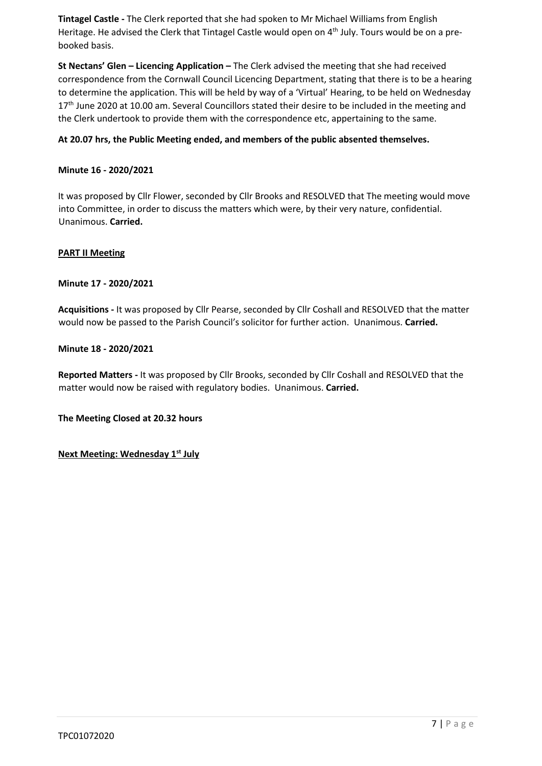**Tintagel Castle -** The Clerk reported that she had spoken to Mr Michael Williams from English Heritage. He advised the Clerk that Tintagel Castle would open on 4<sup>th</sup> July. Tours would be on a prebooked basis.

**St Nectans' Glen – Licencing Application –** The Clerk advised the meeting that she had received correspondence from the Cornwall Council Licencing Department, stating that there is to be a hearing to determine the application. This will be held by way of a 'Virtual' Hearing, to be held on Wednesday 17<sup>th</sup> June 2020 at 10.00 am. Several Councillors stated their desire to be included in the meeting and the Clerk undertook to provide them with the correspondence etc, appertaining to the same.

## **At 20.07 hrs, the Public Meeting ended, and members of the public absented themselves.**

## **Minute 16 - 2020/2021**

It was proposed by Cllr Flower, seconded by Cllr Brooks and RESOLVED that The meeting would move into Committee, in order to discuss the matters which were, by their very nature, confidential. Unanimous. **Carried.**

#### **PART II Meeting**

#### **Minute 17 - 2020/2021**

**Acquisitions -** It was proposed by Cllr Pearse, seconded by Cllr Coshall and RESOLVED that the matter would now be passed to the Parish Council's solicitor for further action. Unanimous. **Carried.**

#### **Minute 18 - 2020/2021**

**Reported Matters -** It was proposed by Cllr Brooks, seconded by Cllr Coshall and RESOLVED that the matter would now be raised with regulatory bodies. Unanimous. **Carried.**

**The Meeting Closed at 20.32 hours**

**Next Meeting: Wednesday 1st July**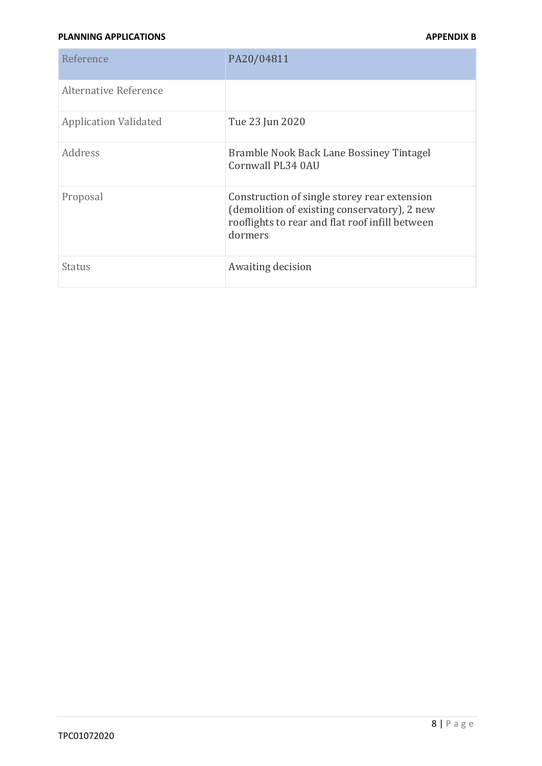## **PLANNING APPLICATIONS APPENDIX B**

| Reference                    | PA20/04811                                                                                                                                                 |
|------------------------------|------------------------------------------------------------------------------------------------------------------------------------------------------------|
| Alternative Reference        |                                                                                                                                                            |
| <b>Application Validated</b> | Tue 23 Jun 2020                                                                                                                                            |
| Address                      | Bramble Nook Back Lane Bossiney Tintagel<br>Cornwall PL34 0AU                                                                                              |
| Proposal                     | Construction of single storey rear extension<br>(demolition of existing conservatory), 2 new<br>rooflights to rear and flat roof infill between<br>dormers |
| Status                       | Awaiting decision                                                                                                                                          |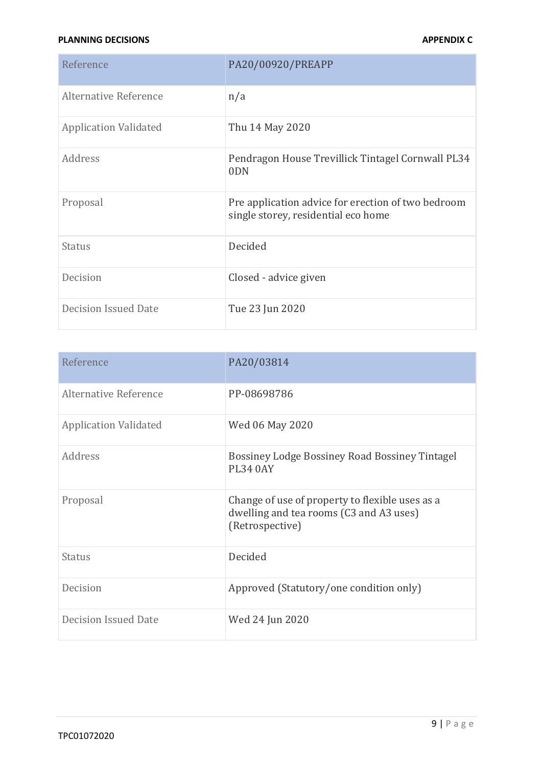## **PLANNING DECISIONS** APPENDIX C

| Reference                    | PA20/00920/PREAPP                                                                         |
|------------------------------|-------------------------------------------------------------------------------------------|
| Alternative Reference        | n/a                                                                                       |
| <b>Application Validated</b> | Thu 14 May 2020                                                                           |
| Address                      | Pendragon House Trevillick Tintagel Cornwall PL34<br>0 <sub>DN</sub>                      |
| Proposal                     | Pre application advice for erection of two bedroom<br>single storey, residential eco home |
| <b>Status</b>                | Decided                                                                                   |
| Decision                     | Closed - advice given                                                                     |
| <b>Decision Issued Date</b>  | Tue 23 Jun 2020                                                                           |

| Reference                    | PA20/03814                                                                                                    |
|------------------------------|---------------------------------------------------------------------------------------------------------------|
| Alternative Reference        | PP-08698786                                                                                                   |
| <b>Application Validated</b> | Wed 06 May 2020                                                                                               |
| Address                      | <b>Bossiney Lodge Bossiney Road Bossiney Tintagel</b><br><b>PL34 0AY</b>                                      |
| Proposal                     | Change of use of property to flexible uses as a<br>dwelling and tea rooms (C3 and A3 uses)<br>(Retrospective) |
| <b>Status</b>                | Decided                                                                                                       |
| Decision                     | Approved (Statutory/one condition only)                                                                       |
| <b>Decision Issued Date</b>  | Wed 24 Jun 2020                                                                                               |